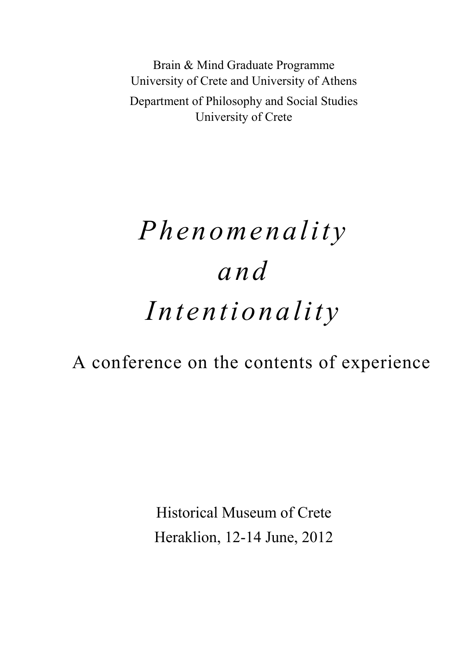Brain & Mind Graduate Programme University of Crete and University of Athens Department of Philosophy and Social Studies University of Crete

# *Phenomenality and Intentionality*

## A conference on the contents of experience

Historical Museum of Crete Heraklion, 12-14 June, 2012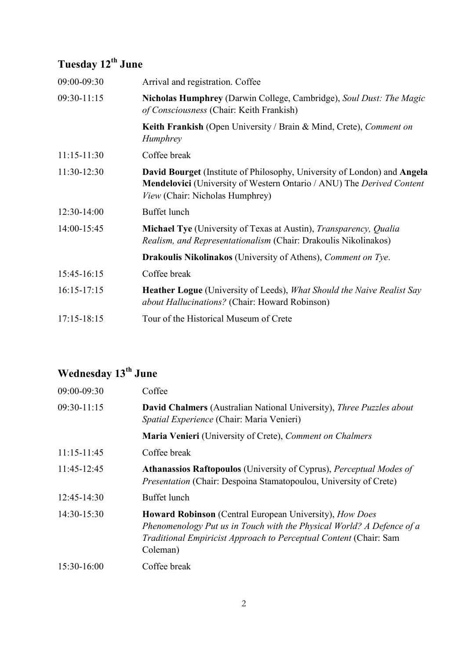## **Tuesday 12th June**

| 09:00-09:30     | Arrival and registration. Coffee                                                                                                                                                                          |
|-----------------|-----------------------------------------------------------------------------------------------------------------------------------------------------------------------------------------------------------|
| 09:30-11:15     | Nicholas Humphrey (Darwin College, Cambridge), Soul Dust: The Magic<br>of Consciousness (Chair: Keith Frankish)                                                                                           |
|                 | Keith Frankish (Open University / Brain & Mind, Crete), Comment on<br><i>Humphrey</i>                                                                                                                     |
| $11:15-11:30$   | Coffee break                                                                                                                                                                                              |
| $11:30-12:30$   | <b>David Bourget</b> (Institute of Philosophy, University of London) and Angela<br><b>Mendelovici</b> (University of Western Ontario / ANU) The <i>Derived Content</i><br>View (Chair: Nicholas Humphrey) |
| $12:30-14:00$   | Buffet lunch                                                                                                                                                                                              |
| 14:00-15:45     | Michael Tye (University of Texas at Austin), <i>Transparency</i> , <i>Qualia</i><br><i>Realism, and Representationalism</i> (Chair: Drakoulis Nikolinakos)                                                |
|                 | <b>Drakoulis Nikolinakos</b> (University of Athens), <i>Comment on Tye.</i>                                                                                                                               |
| 15:45-16:15     | Coffee break                                                                                                                                                                                              |
| $16:15-17:15$   | <b>Heather Logue</b> (University of Leeds), <i>What Should the Naive Realist Say</i><br>about Hallucinations? (Chair: Howard Robinson)                                                                    |
| $17:15 - 18:15$ | Tour of the Historical Museum of Crete                                                                                                                                                                    |

## **Wednesday 13th June**

| 09:00-09:30     | Coffee                                                                                                                                                                                                                          |
|-----------------|---------------------------------------------------------------------------------------------------------------------------------------------------------------------------------------------------------------------------------|
| $09:30-11:15$   | <b>David Chalmers</b> (Australian National University), Three Puzzles about<br>Spatial Experience (Chair: Maria Venieri)                                                                                                        |
|                 | <b>Maria Venieri</b> (University of Crete), <i>Comment on Chalmers</i>                                                                                                                                                          |
| $11:15 - 11:45$ | Coffee break                                                                                                                                                                                                                    |
| 11:45-12:45     | Athanassios Raftopoulos (University of Cyprus), Perceptual Modes of<br><i>Presentation</i> (Chair: Despoina Stamatopoulou, University of Crete)                                                                                 |
| $12:45-14:30$   | Buffet lunch                                                                                                                                                                                                                    |
| $14:30-15:30$   | <b>Howard Robinson</b> (Central European University), <i>How Does</i><br>Phenomenology Put us in Touch with the Physical World? A Defence of a<br>Traditional Empiricist Approach to Perceptual Content (Chair: Sam<br>Coleman) |
| $15:30-16:00$   | Coffee break                                                                                                                                                                                                                    |